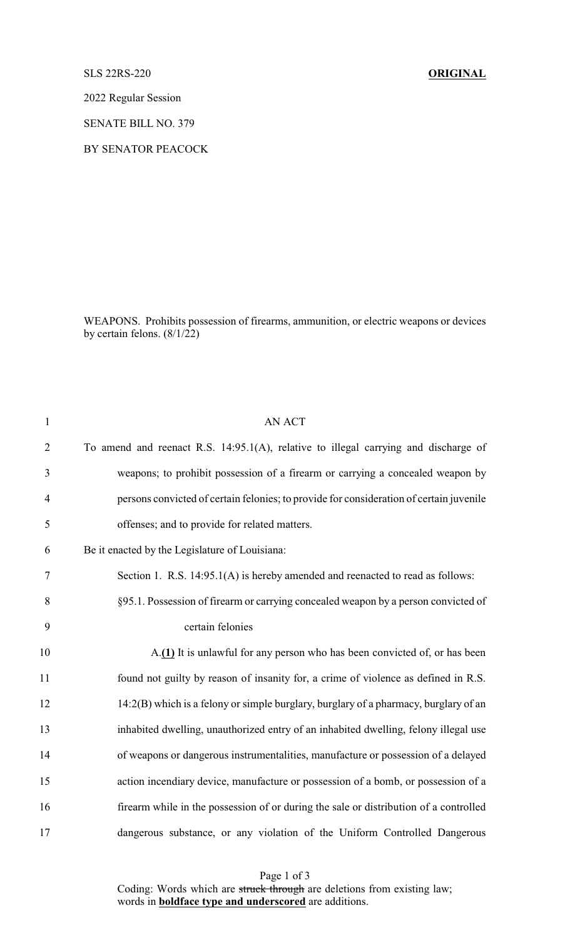## SLS 22RS-220 **ORIGINAL**

2022 Regular Session

SENATE BILL NO. 379

BY SENATOR PEACOCK

WEAPONS. Prohibits possession of firearms, ammunition, or electric weapons or devices by certain felons.  $(8/1/22)$ 

| $\mathbf{1}$   | <b>AN ACT</b>                                                                           |
|----------------|-----------------------------------------------------------------------------------------|
| $\overline{2}$ | To amend and reenact R.S. 14:95.1(A), relative to illegal carrying and discharge of     |
| 3              | weapons; to prohibit possession of a firearm or carrying a concealed weapon by          |
| $\overline{4}$ | persons convicted of certain felonies; to provide for consideration of certain juvenile |
| 5              | offenses; and to provide for related matters.                                           |
| 6              | Be it enacted by the Legislature of Louisiana:                                          |
| 7              | Section 1. R.S. 14:95.1(A) is hereby amended and reenacted to read as follows:          |
| 8              | §95.1. Possession of firearm or carrying concealed weapon by a person convicted of      |
| 9              | certain felonies                                                                        |
| 10             | A.(1) It is unlawful for any person who has been convicted of, or has been              |
| 11             | found not guilty by reason of insanity for, a crime of violence as defined in R.S.      |
| 12             | 14:2(B) which is a felony or simple burglary, burglary of a pharmacy, burglary of an    |
| 13             | inhabited dwelling, unauthorized entry of an inhabited dwelling, felony illegal use     |
| 14             | of weapons or dangerous instrumentalities, manufacture or possession of a delayed       |
| 15             | action incendiary device, manufacture or possession of a bomb, or possession of a       |
| 16             | firearm while in the possession of or during the sale or distribution of a controlled   |
| 17             | dangerous substance, or any violation of the Uniform Controlled Dangerous               |

Page 1 of 3 Coding: Words which are struck through are deletions from existing law; words in **boldface type and underscored** are additions.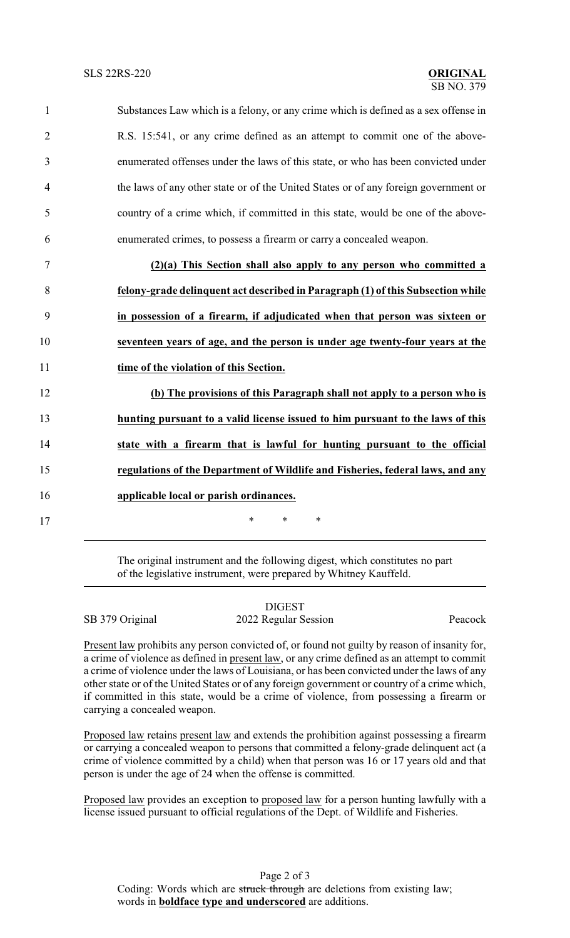| $\mathbf{1}$   | Substances Law which is a felony, or any crime which is defined as a sex offense in |
|----------------|-------------------------------------------------------------------------------------|
| $\overline{2}$ | R.S. 15:541, or any crime defined as an attempt to commit one of the above-         |
| $\overline{3}$ | enumerated offenses under the laws of this state, or who has been convicted under   |
| $\overline{4}$ | the laws of any other state or of the United States or of any foreign government or |
| 5              | country of a crime which, if committed in this state, would be one of the above-    |
| 6              | enumerated crimes, to possess a firearm or carry a concealed weapon.                |
| $\overline{7}$ | (2)(a) This Section shall also apply to any person who committed a                  |
| 8              | felony-grade delinquent act described in Paragraph (1) of this Subsection while     |
| 9              | in possession of a firearm, if adjudicated when that person was sixteen or          |

10 **seventeen years of age, and the person is under age twenty-four years at the**

11 **time of the violation of this Section.**

17 \* \* \* \*

 **(b) The provisions of this Paragraph shall not apply to a person who is hunting pursuant to a valid license issued to him pursuant to the laws of this state with a firearm that is lawful for hunting pursuant to the official regulations of the Department of Wildlife and Fisheries, federal laws, and any applicable local or parish ordinances.**

> The original instrument and the following digest, which constitutes no part of the legislative instrument, were prepared by Whitney Kauffeld.

|                 | <b>DIGEST</b>        |         |
|-----------------|----------------------|---------|
| SB 379 Original | 2022 Regular Session | Peacock |

Present law prohibits any person convicted of, or found not guilty by reason of insanity for, a crime of violence as defined in present law, or any crime defined as an attempt to commit a crime of violence under the laws of Louisiana, or has been convicted under the laws of any other state or of the United States or of any foreign government or country of a crime which, if committed in this state, would be a crime of violence, from possessing a firearm or carrying a concealed weapon.

Proposed law retains present law and extends the prohibition against possessing a firearm or carrying a concealed weapon to persons that committed a felony-grade delinquent act (a crime of violence committed by a child) when that person was 16 or 17 years old and that person is under the age of 24 when the offense is committed.

Proposed law provides an exception to proposed law for a person hunting lawfully with a license issued pursuant to official regulations of the Dept. of Wildlife and Fisheries.